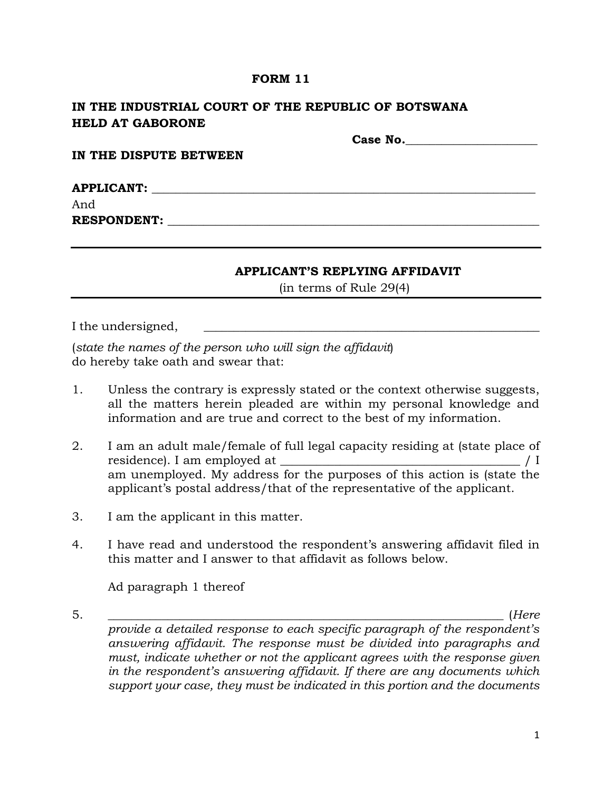## **FORM 11**

# **IN THE INDUSTRIAL COURT OF THE REPUBLIC OF BOTSWANA HELD AT GABORONE**

 **Case No.\_\_\_\_\_\_\_\_\_\_\_\_\_\_\_\_\_\_\_\_\_\_ IN THE DISPUTE BETWEEN**  ${\bf APPLICATION:}$ And **RESPONDENT:**  $\blacksquare$ 

### **APPLICANT'S REPLYING AFFIDAVIT**

(in terms of Rule 29(4)

I the undersigned,

(*state the names of the person who will sign the affidavit*) do hereby take oath and swear that:

- 1. Unless the contrary is expressly stated or the context otherwise suggests, all the matters herein pleaded are within my personal knowledge and information and are true and correct to the best of my information.
- 2. I am an adult male/female of full legal capacity residing at (state place of residence). I am employed at \_\_\_\_\_\_\_\_\_\_\_\_\_\_\_\_\_\_\_\_\_\_\_\_\_\_\_\_\_\_\_\_\_\_\_\_\_\_\_\_ / I am unemployed. My address for the purposes of this action is (state the applicant's postal address/that of the representative of the applicant.
- 3. I am the applicant in this matter.
- 4. I have read and understood the respondent's answering affidavit filed in this matter and I answer to that affidavit as follows below.

Ad paragraph 1 thereof

5. \_\_\_\_\_\_\_\_\_\_\_\_\_\_\_\_\_\_\_\_\_\_\_\_\_\_\_\_\_\_\_\_\_\_\_\_\_\_\_\_\_\_\_\_\_\_\_\_\_\_\_\_\_\_\_\_\_\_\_\_\_\_\_\_\_\_ (*Here provide a detailed response to each specific paragraph of the respondent's answering affidavit. The response must be divided into paragraphs and must, indicate whether or not the applicant agrees with the response given in the respondent's answering affidavit. If there are any documents which support your case, they must be indicated in this portion and the documents*